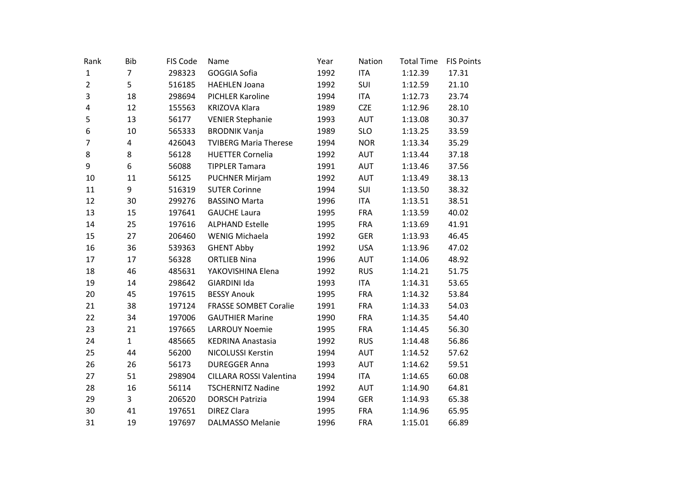| Rank           | <b>Bib</b>     | FIS Code | Name                           | Year | Nation     | <b>Total Time</b> | <b>FIS Points</b> |
|----------------|----------------|----------|--------------------------------|------|------------|-------------------|-------------------|
| $\mathbf{1}$   | $\overline{7}$ | 298323   | GOGGIA Sofia                   | 1992 | <b>ITA</b> | 1:12.39           | 17.31             |
| $\overline{2}$ | 5              | 516185   | <b>HAEHLEN Joana</b>           | 1992 | SUI        | 1:12.59           | 21.10             |
| 3              | 18             | 298694   | PICHLER Karoline               | 1994 | <b>ITA</b> | 1:12.73           | 23.74             |
| 4              | 12             | 155563   | <b>KRIZOVA Klara</b>           | 1989 | <b>CZE</b> | 1:12.96           | 28.10             |
| 5              | 13             | 56177    | <b>VENIER Stephanie</b>        | 1993 | AUT        | 1:13.08           | 30.37             |
| 6              | $10\,$         | 565333   | <b>BRODNIK Vanja</b>           | 1989 | <b>SLO</b> | 1:13.25           | 33.59             |
| $\overline{7}$ | 4              | 426043   | <b>TVIBERG Maria Therese</b>   | 1994 | <b>NOR</b> | 1:13.34           | 35.29             |
| 8              | 8              | 56128    | <b>HUETTER Cornelia</b>        | 1992 | <b>AUT</b> | 1:13.44           | 37.18             |
| 9              | 6              | 56088    | <b>TIPPLER Tamara</b>          | 1991 | AUT        | 1:13.46           | 37.56             |
| 10             | 11             | 56125    | <b>PUCHNER Mirjam</b>          | 1992 | <b>AUT</b> | 1:13.49           | 38.13             |
| 11             | 9              | 516319   | <b>SUTER Corinne</b>           | 1994 | SUI        | 1:13.50           | 38.32             |
| 12             | 30             | 299276   | <b>BASSINO Marta</b>           | 1996 | <b>ITA</b> | 1:13.51           | 38.51             |
| 13             | 15             | 197641   | <b>GAUCHE Laura</b>            | 1995 | <b>FRA</b> | 1:13.59           | 40.02             |
| 14             | 25             | 197616   | <b>ALPHAND Estelle</b>         | 1995 | <b>FRA</b> | 1:13.69           | 41.91             |
| 15             | 27             | 206460   | <b>WENIG Michaela</b>          | 1992 | <b>GER</b> | 1:13.93           | 46.45             |
| 16             | 36             | 539363   | <b>GHENT Abby</b>              | 1992 | <b>USA</b> | 1:13.96           | 47.02             |
| 17             | 17             | 56328    | <b>ORTLIEB Nina</b>            | 1996 | <b>AUT</b> | 1:14.06           | 48.92             |
| 18             | 46             | 485631   | YAKOVISHINA Elena              | 1992 | <b>RUS</b> | 1:14.21           | 51.75             |
| 19             | 14             | 298642   | GIARDINI Ida                   | 1993 | <b>ITA</b> | 1:14.31           | 53.65             |
| 20             | 45             | 197615   | <b>BESSY Anouk</b>             | 1995 | <b>FRA</b> | 1:14.32           | 53.84             |
| 21             | 38             | 197124   | <b>FRASSE SOMBET Coralie</b>   | 1991 | <b>FRA</b> | 1:14.33           | 54.03             |
| 22             | 34             | 197006   | <b>GAUTHIER Marine</b>         | 1990 | <b>FRA</b> | 1:14.35           | 54.40             |
| 23             | 21             | 197665   | <b>LARROUY Noemie</b>          | 1995 | <b>FRA</b> | 1:14.45           | 56.30             |
| 24             | $\mathbf{1}$   | 485665   | <b>KEDRINA Anastasia</b>       | 1992 | <b>RUS</b> | 1:14.48           | 56.86             |
| 25             | 44             | 56200    | NICOLUSSI Kerstin              | 1994 | <b>AUT</b> | 1:14.52           | 57.62             |
| 26             | 26             | 56173    | <b>DUREGGER Anna</b>           | 1993 | AUT        | 1:14.62           | 59.51             |
| 27             | 51             | 298904   | <b>CILLARA ROSSI Valentina</b> | 1994 | <b>ITA</b> | 1:14.65           | 60.08             |
| 28             | 16             | 56114    | <b>TSCHERNITZ Nadine</b>       | 1992 | AUT        | 1:14.90           | 64.81             |
| 29             | $\overline{3}$ | 206520   | <b>DORSCH Patrizia</b>         | 1994 | <b>GER</b> | 1:14.93           | 65.38             |
| 30             | 41             | 197651   | <b>DIREZ Clara</b>             | 1995 | <b>FRA</b> | 1:14.96           | 65.95             |
| 31             | 19             | 197697   | <b>DALMASSO Melanie</b>        | 1996 | <b>FRA</b> | 1:15.01           | 66.89             |